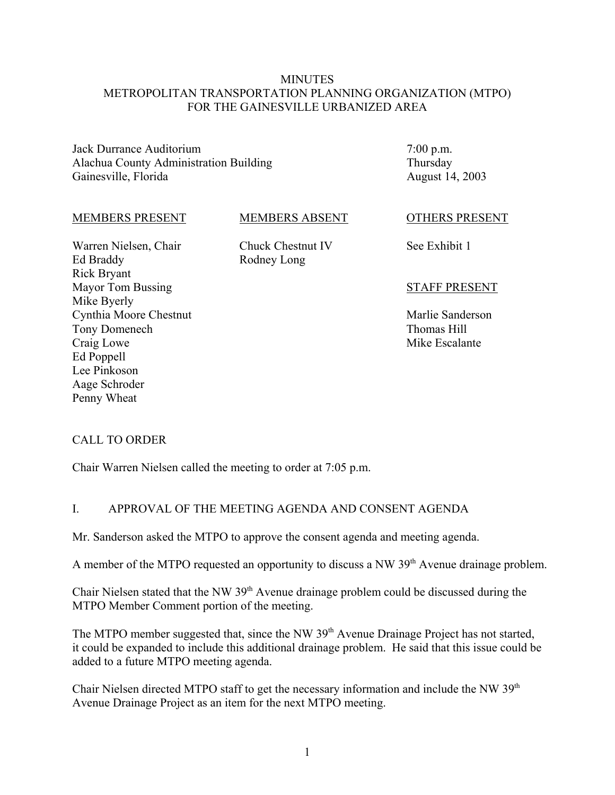#### **MINUTES** METROPOLITAN TRANSPORTATION PLANNING ORGANIZATION (MTPO) FOR THE GAINESVILLE URBANIZED AREA

Jack Durrance Auditorium Alachua County Administration Building Gainesville, Florida

7:00 p.m. Thursday August 14, 2003

#### MEMBERS PRESENT

#### MEMBERS ABSENT

Warren Nielsen, Chair Ed Braddy Rick Bryant Mayor Tom Bussing Mike Byerly Cynthia Moore Chestnut Tony Domenech Craig Lowe Ed Poppell Lee Pinkoson Aage Schroder Penny Wheat

Chuck Chestnut IV Rodney Long

#### OTHERS PRESENT

See Exhibit 1

#### STAFF PRESENT

Marlie Sanderson Thomas Hill Mike Escalante

# CALL TO ORDER

Chair Warren Nielsen called the meeting to order at 7:05 p.m.

#### I. APPROVAL OF THE MEETING AGENDA AND CONSENT AGENDA

Mr. Sanderson asked the MTPO to approve the consent agenda and meeting agenda.

A member of the MTPO requested an opportunity to discuss a NW  $39<sup>th</sup>$  Avenue drainage problem.

Chair Nielsen stated that the NW 39<sup>th</sup> Avenue drainage problem could be discussed during the MTPO Member Comment portion of the meeting.

The MTPO member suggested that, since the NW 39<sup>th</sup> Avenue Drainage Project has not started, it could be expanded to include this additional drainage problem. He said that this issue could be added to a future MTPO meeting agenda.

Chair Nielsen directed MTPO staff to get the necessary information and include the NW 39<sup>th</sup> Avenue Drainage Project as an item for the next MTPO meeting.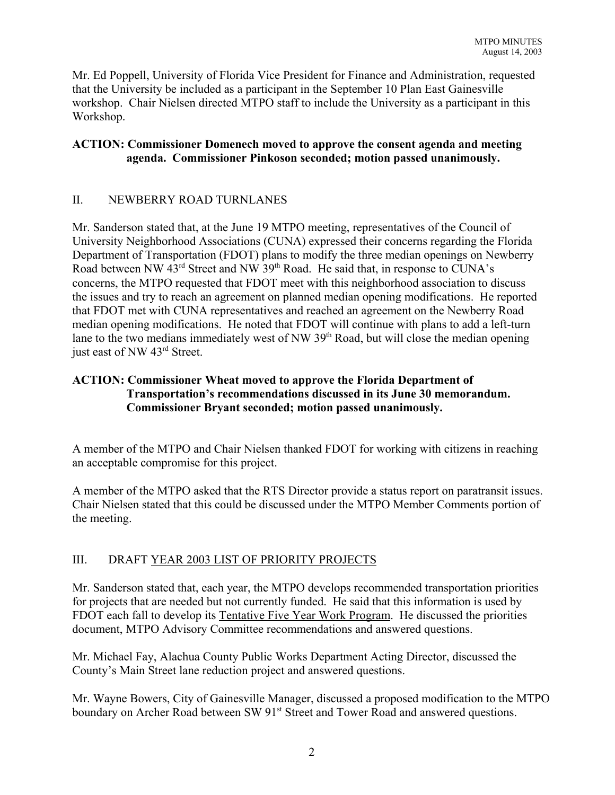Mr. Ed Poppell, University of Florida Vice President for Finance and Administration, requested that the University be included as a participant in the September 10 Plan East Gainesville workshop. Chair Nielsen directed MTPO staff to include the University as a participant in this Workshop.

# **ACTION: Commissioner Domenech moved to approve the consent agenda and meeting agenda. Commissioner Pinkoson seconded; motion passed unanimously.**

# II. NEWBERRY ROAD TURNLANES

Mr. Sanderson stated that, at the June 19 MTPO meeting, representatives of the Council of University Neighborhood Associations (CUNA) expressed their concerns regarding the Florida Department of Transportation (FDOT) plans to modify the three median openings on Newberry Road between NW 43<sup>rd</sup> Street and NW 39<sup>th</sup> Road. He said that, in response to CUNA's concerns, the MTPO requested that FDOT meet with this neighborhood association to discuss the issues and try to reach an agreement on planned median opening modifications. He reported that FDOT met with CUNA representatives and reached an agreement on the Newberry Road median opening modifications. He noted that FDOT will continue with plans to add a left-turn lane to the two medians immediately west of NW 39<sup>th</sup> Road, but will close the median opening just east of NW 43<sup>rd</sup> Street.

# **ACTION: Commissioner Wheat moved to approve the Florida Department of Transportation's recommendations discussed in its June 30 memorandum. Commissioner Bryant seconded; motion passed unanimously.**

A member of the MTPO and Chair Nielsen thanked FDOT for working with citizens in reaching an acceptable compromise for this project.

A member of the MTPO asked that the RTS Director provide a status report on paratransit issues. Chair Nielsen stated that this could be discussed under the MTPO Member Comments portion of the meeting.

# III. DRAFT YEAR 2003 LIST OF PRIORITY PROJECTS

Mr. Sanderson stated that, each year, the MTPO develops recommended transportation priorities for projects that are needed but not currently funded. He said that this information is used by FDOT each fall to develop its Tentative Five Year Work Program. He discussed the priorities document, MTPO Advisory Committee recommendations and answered questions.

Mr. Michael Fay, Alachua County Public Works Department Acting Director, discussed the County's Main Street lane reduction project and answered questions.

Mr. Wayne Bowers, City of Gainesville Manager, discussed a proposed modification to the MTPO boundary on Archer Road between SW 91<sup>st</sup> Street and Tower Road and answered questions.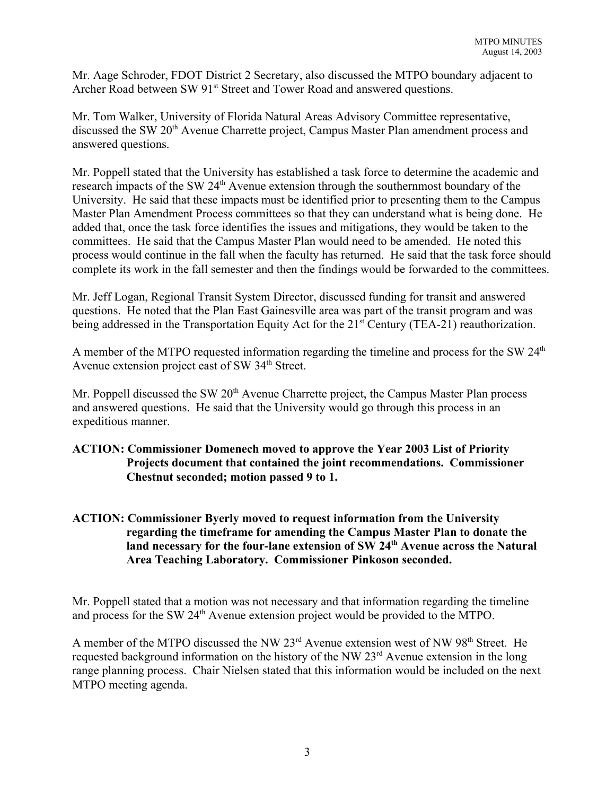Mr. Aage Schroder, FDOT District 2 Secretary, also discussed the MTPO boundary adjacent to Archer Road between SW 91<sup>st</sup> Street and Tower Road and answered questions.

Mr. Tom Walker, University of Florida Natural Areas Advisory Committee representative, discussed the SW 20<sup>th</sup> Avenue Charrette project, Campus Master Plan amendment process and answered questions.

Mr. Poppell stated that the University has established a task force to determine the academic and research impacts of the SW 24<sup>th</sup> Avenue extension through the southernmost boundary of the University. He said that these impacts must be identified prior to presenting them to the Campus Master Plan Amendment Process committees so that they can understand what is being done. He added that, once the task force identifies the issues and mitigations, they would be taken to the committees. He said that the Campus Master Plan would need to be amended. He noted this process would continue in the fall when the faculty has returned. He said that the task force should complete its work in the fall semester and then the findings would be forwarded to the committees.

Mr. Jeff Logan, Regional Transit System Director, discussed funding for transit and answered questions. He noted that the Plan East Gainesville area was part of the transit program and was being addressed in the Transportation Equity Act for the 21<sup>st</sup> Century (TEA-21) reauthorization.

A member of the MTPO requested information regarding the timeline and process for the SW  $24<sup>th</sup>$ Avenue extension project east of SW  $34<sup>th</sup>$  Street.

Mr. Poppell discussed the SW 20<sup>th</sup> Avenue Charrette project, the Campus Master Plan process and answered questions. He said that the University would go through this process in an expeditious manner.

# **ACTION: Commissioner Domenech moved to approve the Year 2003 List of Priority Projects document that contained the joint recommendations. Commissioner Chestnut seconded; motion passed 9 to 1.**

# **ACTION: Commissioner Byerly moved to request information from the University regarding the timeframe for amending the Campus Master Plan to donate the** land necessary for the four-lane extension of SW 24<sup>th</sup> Avenue across the Natural **Area Teaching Laboratory. Commissioner Pinkoson seconded.**

Mr. Poppell stated that a motion was not necessary and that information regarding the timeline and process for the SW 24th Avenue extension project would be provided to the MTPO.

A member of the MTPO discussed the NW 23<sup>rd</sup> Avenue extension west of NW 98<sup>th</sup> Street. He requested background information on the history of the NW 23<sup>rd</sup> Avenue extension in the long range planning process. Chair Nielsen stated that this information would be included on the next MTPO meeting agenda.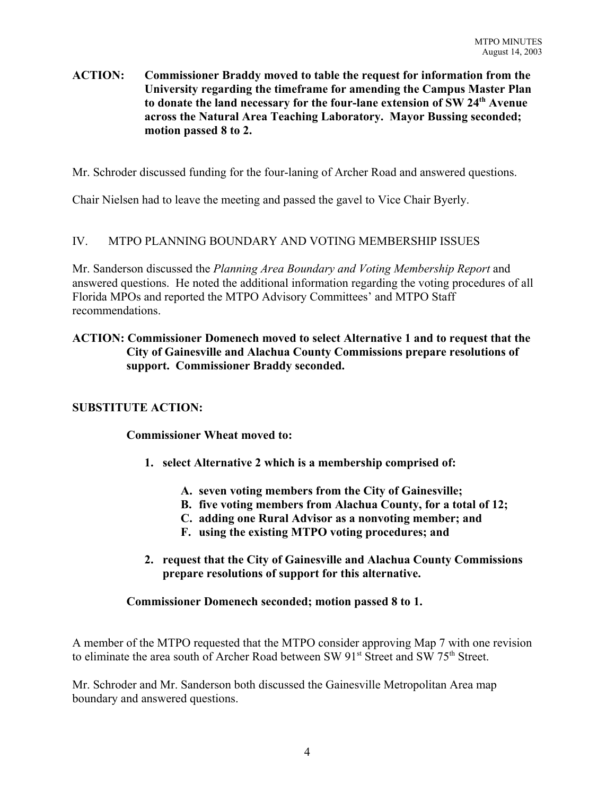#### **ACTION: Commissioner Braddy moved to table the request for information from the University regarding the timeframe for amending the Campus Master Plan to donate the land necessary for the four-lane extension of SW 24th Avenue across the Natural Area Teaching Laboratory. Mayor Bussing seconded; motion passed 8 to 2.**

Mr. Schroder discussed funding for the four-laning of Archer Road and answered questions.

Chair Nielsen had to leave the meeting and passed the gavel to Vice Chair Byerly.

# IV. MTPO PLANNING BOUNDARY AND VOTING MEMBERSHIP ISSUES

Mr. Sanderson discussed the *Planning Area Boundary and Voting Membership Report* and answered questions. He noted the additional information regarding the voting procedures of all Florida MPOs and reported the MTPO Advisory Committees' and MTPO Staff recommendations.

#### **ACTION: Commissioner Domenech moved to select Alternative 1 and to request that the City of Gainesville and Alachua County Commissions prepare resolutions of support. Commissioner Braddy seconded.**

# **SUBSTITUTE ACTION:**

**Commissioner Wheat moved to:**

- **1. select Alternative 2 which is a membership comprised of:**
	- **A. seven voting members from the City of Gainesville;**
	- **B. five voting members from Alachua County, for a total of 12;**
	- **C. adding one Rural Advisor as a nonvoting member; and**
	- **F. using the existing MTPO voting procedures; and**
- **2. request that the City of Gainesville and Alachua County Commissions prepare resolutions of support for this alternative.**

#### **Commissioner Domenech seconded; motion passed 8 to 1.**

A member of the MTPO requested that the MTPO consider approving Map 7 with one revision to eliminate the area south of Archer Road between SW 91<sup>st</sup> Street and SW 75<sup>th</sup> Street.

Mr. Schroder and Mr. Sanderson both discussed the Gainesville Metropolitan Area map boundary and answered questions.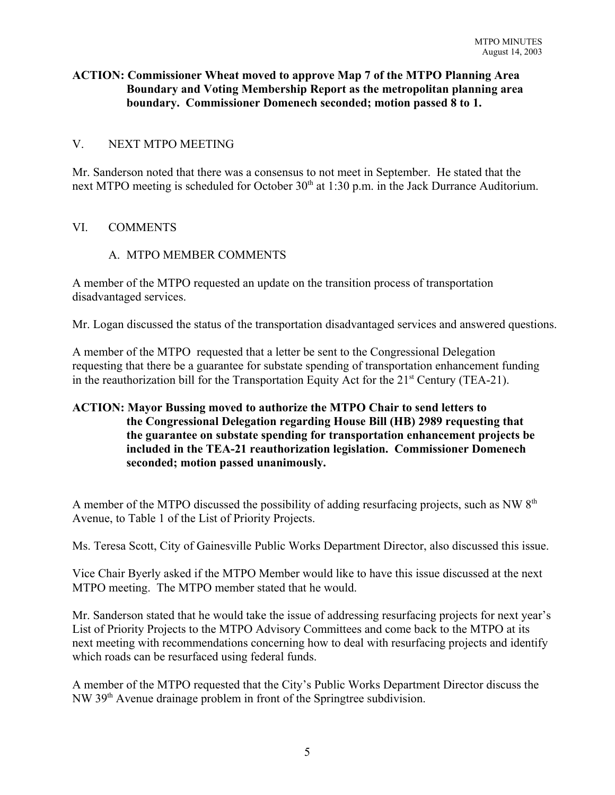## **ACTION: Commissioner Wheat moved to approve Map 7 of the MTPO Planning Area Boundary and Voting Membership Report as the metropolitan planning area boundary. Commissioner Domenech seconded; motion passed 8 to 1.**

#### V. NEXT MTPO MEETING

Mr. Sanderson noted that there was a consensus to not meet in September. He stated that the next MTPO meeting is scheduled for October 30<sup>th</sup> at 1:30 p.m. in the Jack Durrance Auditorium.

#### VI. COMMENTS

#### A. MTPO MEMBER COMMENTS

A member of the MTPO requested an update on the transition process of transportation disadvantaged services.

Mr. Logan discussed the status of the transportation disadvantaged services and answered questions.

A member of the MTPO requested that a letter be sent to the Congressional Delegation requesting that there be a guarantee for substate spending of transportation enhancement funding in the reauthorization bill for the Transportation Equity Act for the  $21<sup>st</sup>$  Century (TEA-21).

# **ACTION: Mayor Bussing moved to authorize the MTPO Chair to send letters to the Congressional Delegation regarding House Bill (HB) 2989 requesting that the guarantee on substate spending for transportation enhancement projects be included in the TEA-21 reauthorization legislation. Commissioner Domenech seconded; motion passed unanimously.**

A member of the MTPO discussed the possibility of adding resurfacing projects, such as NW  $8<sup>th</sup>$ Avenue, to Table 1 of the List of Priority Projects.

Ms. Teresa Scott, City of Gainesville Public Works Department Director, also discussed this issue.

Vice Chair Byerly asked if the MTPO Member would like to have this issue discussed at the next MTPO meeting. The MTPO member stated that he would.

Mr. Sanderson stated that he would take the issue of addressing resurfacing projects for next year's List of Priority Projects to the MTPO Advisory Committees and come back to the MTPO at its next meeting with recommendations concerning how to deal with resurfacing projects and identify which roads can be resurfaced using federal funds.

A member of the MTPO requested that the City's Public Works Department Director discuss the NW 39th Avenue drainage problem in front of the Springtree subdivision.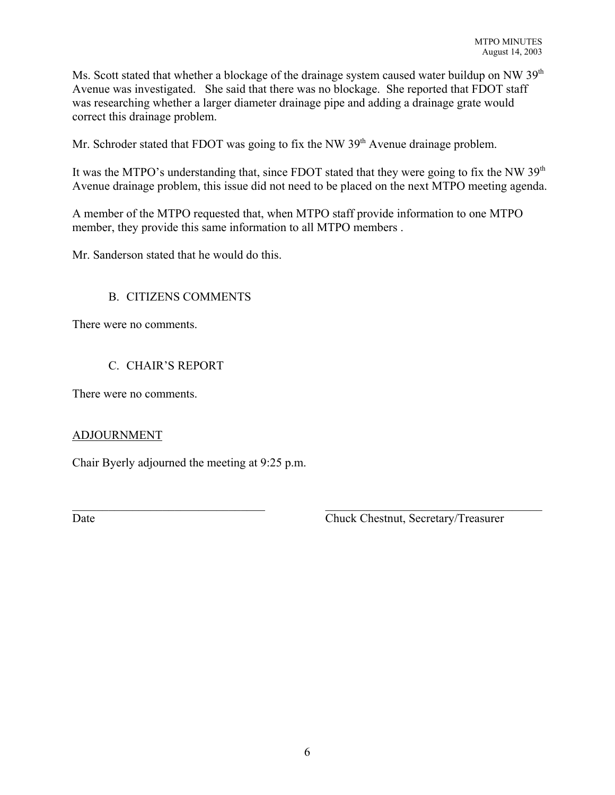Ms. Scott stated that whether a blockage of the drainage system caused water buildup on NW 39<sup>th</sup> Avenue was investigated. She said that there was no blockage. She reported that FDOT staff was researching whether a larger diameter drainage pipe and adding a drainage grate would correct this drainage problem.

Mr. Schroder stated that FDOT was going to fix the NW  $39<sup>th</sup>$  Avenue drainage problem.

It was the MTPO's understanding that, since FDOT stated that they were going to fix the NW  $39<sup>th</sup>$ Avenue drainage problem, this issue did not need to be placed on the next MTPO meeting agenda.

A member of the MTPO requested that, when MTPO staff provide information to one MTPO member, they provide this same information to all MTPO members .

Mr. Sanderson stated that he would do this.

#### B. CITIZENS COMMENTS

There were no comments.

#### C. CHAIR'S REPORT

There were no comments.

#### ADJOURNMENT

Chair Byerly adjourned the meeting at 9:25 p.m.

Date Chuck Chestnut, Secretary/Treasurer

 $\mathcal{L}_\text{max} = \mathcal{L}_\text{max} = \mathcal{L}_\text{max} = \mathcal{L}_\text{max} = \mathcal{L}_\text{max} = \mathcal{L}_\text{max} = \mathcal{L}_\text{max} = \mathcal{L}_\text{max} = \mathcal{L}_\text{max} = \mathcal{L}_\text{max} = \mathcal{L}_\text{max} = \mathcal{L}_\text{max} = \mathcal{L}_\text{max} = \mathcal{L}_\text{max} = \mathcal{L}_\text{max} = \mathcal{L}_\text{max} = \mathcal{L}_\text{max} = \mathcal{L}_\text{max} = \mathcal{$